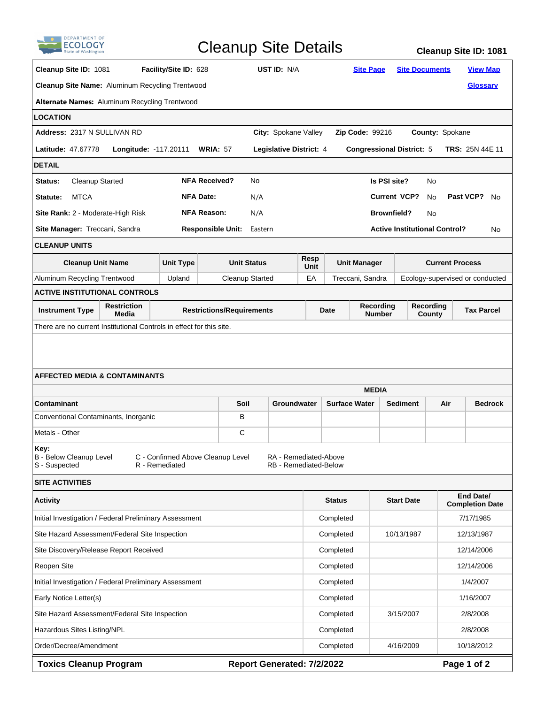| <b>DEPARTMENT OF</b>                                                         |                                                                                            |                  | <b>Cleanup Site Details</b><br><b>Cleanup Site ID: 1081</b> |                                                                                       |                                                       |                             |                                              |                                      |                                                 |                 |  |
|------------------------------------------------------------------------------|--------------------------------------------------------------------------------------------|------------------|-------------------------------------------------------------|---------------------------------------------------------------------------------------|-------------------------------------------------------|-----------------------------|----------------------------------------------|--------------------------------------|-------------------------------------------------|-----------------|--|
|                                                                              | Cleanup Site ID: 1081<br>Facility/Site ID: 628                                             |                  |                                                             | UST ID: N/A                                                                           |                                                       |                             | <b>Site Page</b>                             |                                      | <b>Site Documents</b><br><b>View Map</b>        |                 |  |
| Cleanup Site Name: Aluminum Recycling Trentwood                              |                                                                                            |                  |                                                             |                                                                                       |                                                       |                             |                                              |                                      |                                                 | <b>Glossary</b> |  |
| Alternate Names: Aluminum Recycling Trentwood                                |                                                                                            |                  |                                                             |                                                                                       |                                                       |                             |                                              |                                      |                                                 |                 |  |
| LOCATION                                                                     |                                                                                            |                  |                                                             |                                                                                       |                                                       |                             |                                              |                                      |                                                 |                 |  |
| Address: 2317 N SULLIVAN RD<br>City: Spokane Valley                          |                                                                                            |                  |                                                             | County: Spokane<br><b>Zip Code: 99216</b>                                             |                                                       |                             |                                              |                                      |                                                 |                 |  |
| <b>Latitude: 47.67778</b><br><b>Longitude: -117.20111</b><br><b>WRIA: 57</b> |                                                                                            |                  |                                                             | Legislative District: 4<br><b>Congressional District: 5</b><br><b>TRS: 25N 44E 11</b> |                                                       |                             |                                              |                                      |                                                 |                 |  |
| DETAIL                                                                       |                                                                                            |                  |                                                             |                                                                                       |                                                       |                             |                                              |                                      |                                                 |                 |  |
| <b>Cleanup Started</b><br>Status:                                            |                                                                                            |                  | <b>NFA Received?</b>                                        | No                                                                                    |                                                       |                             | Is PSI site?                                 |                                      | No                                              |                 |  |
| <b>NFA Date:</b><br><b>MTCA</b><br>Statute:                                  |                                                                                            |                  |                                                             | N/A                                                                                   |                                                       |                             | Past VCP?<br><b>Current VCP?</b><br>No<br>No |                                      |                                                 |                 |  |
|                                                                              | <b>NFA Reason:</b><br><b>Brownfield?</b><br>Site Rank: 2 - Moderate-High Risk<br>N/A<br>No |                  |                                                             |                                                                                       |                                                       |                             |                                              |                                      |                                                 |                 |  |
| Site Manager: Treccani, Sandra                                               |                                                                                            |                  | <b>Responsible Unit:</b>                                    | Eastern                                                                               |                                                       |                             |                                              | <b>Active Institutional Control?</b> |                                                 | No              |  |
| <b>CLEANUP UNITS</b>                                                         |                                                                                            |                  |                                                             |                                                                                       |                                                       |                             |                                              |                                      |                                                 |                 |  |
| <b>Cleanup Unit Name</b>                                                     |                                                                                            | <b>Unit Type</b> |                                                             | <b>Unit Status</b>                                                                    | Resp<br>Unit                                          | Unit Manager                |                                              | <b>Current Process</b>               |                                                 |                 |  |
| Aluminum Recycling Trentwood                                                 |                                                                                            | Upland           | <b>Cleanup Started</b>                                      |                                                                                       | EA                                                    | Treccani, Sandra            |                                              | Ecology-supervised or conducted      |                                                 |                 |  |
| <b>ACTIVE INSTITUTIONAL CONTROLS</b>                                         |                                                                                            |                  |                                                             |                                                                                       |                                                       |                             |                                              |                                      |                                                 |                 |  |
| <b>Restriction</b><br><b>Instrument Type</b><br>Media                        |                                                                                            |                  |                                                             | <b>Restrictions/Requirements</b>                                                      |                                                       | Recording<br>Date<br>Number |                                              |                                      | <b>Recording</b><br><b>Tax Parcel</b><br>County |                 |  |
| There are no current Institutional Controls in effect for this site.         |                                                                                            |                  |                                                             |                                                                                       |                                                       |                             |                                              |                                      |                                                 |                 |  |
| AFFECTED MEDIA & CONTAMINANTS                                                |                                                                                            |                  |                                                             |                                                                                       |                                                       |                             |                                              |                                      |                                                 |                 |  |
|                                                                              |                                                                                            |                  |                                                             |                                                                                       |                                                       | <b>MEDIA</b>                |                                              |                                      |                                                 |                 |  |
| Contaminant<br>Conventional Contaminants, Inorganic                          |                                                                                            |                  | Soil<br>в                                                   |                                                                                       | Groundwater                                           | <b>Surface Water</b>        |                                              | <b>Sediment</b>                      | Air                                             | <b>Bedrock</b>  |  |
| Metals - Other                                                               |                                                                                            |                  | С                                                           |                                                                                       |                                                       |                             |                                              |                                      |                                                 |                 |  |
| Key:<br><b>B</b> - Below Cleanup Level<br>S - Suspected                      |                                                                                            | R - Remediated   | C - Confirmed Above Cleanup Level                           |                                                                                       | RA - Remediated-Above<br><b>RB</b> - Remediated-Below |                             |                                              |                                      |                                                 |                 |  |
| <b>SITE ACTIVITIES</b>                                                       |                                                                                            |                  |                                                             |                                                                                       |                                                       |                             |                                              |                                      |                                                 |                 |  |
| <b>Activity</b>                                                              |                                                                                            |                  |                                                             |                                                                                       | <b>Status</b>                                         |                             |                                              | <b>Start Date</b>                    | End Date/<br><b>Completion Date</b>             |                 |  |
| Initial Investigation / Federal Preliminary Assessment                       |                                                                                            |                  |                                                             |                                                                                       |                                                       | Completed                   |                                              |                                      | 7/17/1985                                       |                 |  |
| Site Hazard Assessment/Federal Site Inspection                               |                                                                                            |                  |                                                             |                                                                                       |                                                       | Completed                   |                                              | 10/13/1987                           | 12/13/1987                                      |                 |  |
| Site Discovery/Release Report Received                                       |                                                                                            |                  |                                                             |                                                                                       |                                                       | Completed                   |                                              |                                      | 12/14/2006                                      |                 |  |
| Reopen Site                                                                  |                                                                                            |                  |                                                             |                                                                                       |                                                       | Completed                   |                                              |                                      | 12/14/2006                                      |                 |  |
| Initial Investigation / Federal Preliminary Assessment                       |                                                                                            |                  |                                                             |                                                                                       |                                                       | Completed                   |                                              |                                      | 1/4/2007                                        |                 |  |
| Early Notice Letter(s)                                                       |                                                                                            |                  |                                                             |                                                                                       |                                                       | Completed                   |                                              |                                      | 1/16/2007                                       |                 |  |
| Site Hazard Assessment/Federal Site Inspection                               |                                                                                            |                  |                                                             |                                                                                       |                                                       | Completed                   |                                              | 3/15/2007                            | 2/8/2008                                        |                 |  |
| Hazardous Sites Listing/NPL                                                  |                                                                                            |                  |                                                             |                                                                                       |                                                       | Completed                   |                                              |                                      | 2/8/2008                                        |                 |  |
| Order/Decree/Amendment                                                       |                                                                                            |                  |                                                             |                                                                                       |                                                       | Completed                   |                                              | 4/16/2009                            |                                                 | 10/18/2012      |  |

| Toxics Cleanup Program |  |
|------------------------|--|
|------------------------|--|